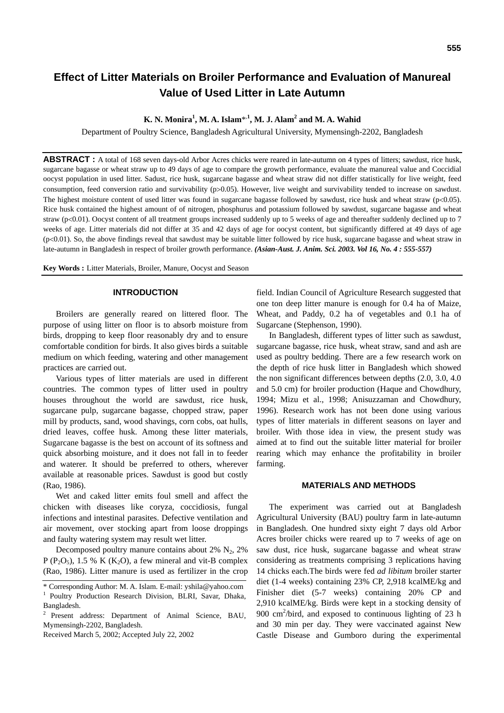# **Effect of Litter Materials on Broiler Performance and Evaluation of Manureal Value of Used Litter in Late Autumn**

## **K. N. Monira<sup>1</sup> , M. A. Islam**\*,**<sup>1</sup> , M. J. Alam2 and M. A. Wahid**

Department of Poultry Science, Bangladesh Agricultural University, Mymensingh-2202, Bangladesh

**ABSTRACT**: A total of 168 seven days-old Arbor Acres chicks were reared in late-autumn on 4 types of litters; sawdust, rice husk, sugarcane bagasse or wheat straw up to 49 days of age to compare the growth performance, evaluate the manureal value and Coccidial oocyst population in used litter. Sadust, rice husk, sugarcane bagasse and wheat straw did not differ statistically for live weight, feed consumption, feed conversion ratio and survivability (p>0.05). However, live weight and survivability tended to increase on sawdust. The highest moisture content of used litter was found in sugarcane bagasse followed by sawdust, rice husk and wheat straw ( $p<0.05$ ). Rice husk contained the highest amount of of nitrogen, phosphurus and potassium followed by sawdust, sugarcane bagasse and wheat straw (p<0.01). Oocyst content of all treatment groups increased suddenly up to 5 weeks of age and thereafter suddenly declined up to 7 weeks of age. Litter materials did not differ at 35 and 42 days of age for oocyst content, but significantly differed at 49 days of age  $(p<0.01)$ . So, the above findings reveal that sawdust may be suitable litter followed by rice husk, sugarcane bagasse and wheat straw in late-autumn in Bangladesh in respect of broiler growth performance. *(Asian-Aust. J. Anim. Sci. 2003. Vol 16, No. 4 : 555-557)*

**Key Words :** Litter Materials, Broiler, Manure, Oocyst and Season

## **INTRODUCTION**

Broilers are generally reared on littered floor. The purpose of using litter on floor is to absorb moisture from birds, dropping to keep floor reasonably dry and to ensure comfortable condition for birds. It also gives birds a suitable medium on which feeding, watering and other management practices are carried out.

Various types of litter materials are used in different countries. The common types of litter used in poultry houses throughout the world are sawdust, rice husk, sugarcane pulp, sugarcane bagasse, chopped straw, paper mill by products, sand, wood shavings, corn cobs, oat hulls, dried leaves, coffee husk. Among these litter materials, Sugarcane bagasse is the best on account of its softness and quick absorbing moisture, and it does not fall in to feeder and waterer. It should be preferred to others, wherever available at reasonable prices. Sawdust is good but costly (Rao, 1986).

Wet and caked litter emits foul smell and affect the chicken with diseases like coryza, coccidiosis, fungal infections and intestinal parasites. Defective ventilation and air movement, over stocking apart from loose droppings and faulty watering system may result wet litter.

Decomposed poultry manure contains about 2%  $N_2$ , 2% P (P<sub>2</sub>O<sub>5</sub>), 1.5 % K (K<sub>2</sub>O), a few mineral and vit-B complex (Rao, 1986). Litter manure is used as fertilizer in the crop field. Indian Council of Agriculture Research suggested that one ton deep litter manure is enough for 0.4 ha of Maize, Wheat, and Paddy, 0.2 ha of vegetables and 0.1 ha of Sugarcane (Stephenson, 1990).

In Bangladesh, different types of litter such as sawdust, sugarcane bagasse, rice husk, wheat straw, sand and ash are used as poultry bedding. There are a few research work on the depth of rice husk litter in Bangladesh which showed the non significant differences between depths (2.0, 3.0, 4.0 and 5.0 cm) for broiler production (Haque and Chowdhury, 1994; Mizu et al., 1998; Anisuzzaman and Chowdhury, 1996). Research work has not been done using various types of litter materials in different seasons on layer and broiler. With those idea in view, the present study was aimed at to find out the suitable litter material for broiler rearing which may enhance the profitability in broiler farming.

### **MATERIALS AND METHODS**

The experiment was carried out at Bangladesh Agricultural University (BAU) poultry farm in late-autumn in Bangladesh. One hundred sixty eight 7 days old Arbor Acres broiler chicks were reared up to 7 weeks of age on saw dust, rice husk, sugarcane bagasse and wheat straw considering as treatments comprising 3 replications having 14 chicks each.The birds were fed *ad libitum* broiler starter diet (1-4 weeks) containing 23% CP, 2,918 kcalME/kg and Finisher diet (5-7 weeks) containing 20% CP and 2,910 kcalME/kg. Birds were kept in a stocking density of 900  $\text{cm}^2/\text{bird}$ , and exposed to continuous lighting of 23 h and 30 min per day. They were vaccinated against New Castle Disease and Gumboro during the experimental

<sup>\*</sup> Corresponding Author: M. A. Islam. E-mail: yshila@yahoo.com 1 Poultry Production Research Division, BLRI, Savar, Dhaka, Bangladesh.

<sup>2</sup> Present address: Department of Animal Science, BAU, Mymensingh-2202, Bangladesh.

Received March 5, 2002; Accepted July 22, 2002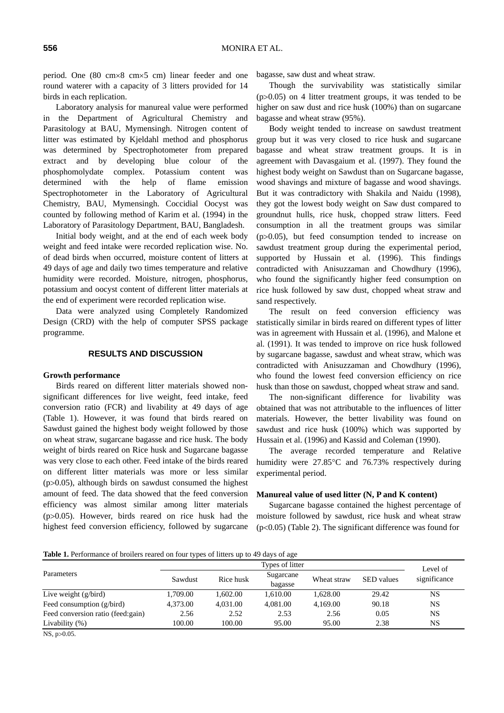period. One (80 cm×8 cm×5 cm) linear feeder and one round waterer with a capacity of 3 litters provided for 14 birds in each replication.

Laboratory analysis for manureal value were performed in the Department of Agricultural Chemistry and Parasitology at BAU, Mymensingh. Nitrogen content of litter was estimated by Kjeldahl method and phosphorus was determined by Spectrophotometer from prepared extract and by developing blue colour of the phosphomolydate complex. Potassium content was determined with the help of flame emission Spectrophotometer in the Laboratory of Agricultural Chemistry, BAU, Mymensingh. Coccidial Oocyst was counted by following method of Karim et al. (1994) in the Laboratory of Parasitology Department, BAU, Bangladesh.

Initial body weight, and at the end of each week body weight and feed intake were recorded replication wise. No. of dead birds when occurred, moisture content of litters at 49 days of age and daily two times temperature and relative humidity were recorded. Moisture, nitrogen, phosphorus, potassium and oocyst content of different litter materials at the end of experiment were recorded replication wise.

Data were analyzed using Completely Randomized Design (CRD) with the help of computer SPSS package programme.

#### **RESULTS AND DISCUSSION**

#### **Growth performance**

Birds reared on different litter materials showed nonsignificant differences for live weight, feed intake, feed conversion ratio (FCR) and livability at 49 days of age (Table 1). However, it was found that birds reared on Sawdust gained the highest body weight followed by those on wheat straw, sugarcane bagasse and rice husk. The body weight of birds reared on Rice husk and Sugarcane bagasse was very close to each other. Feed intake of the birds reared on different litter materials was more or less similar  $(p>0.05)$ , although birds on sawdust consumed the highest amount of feed. The data showed that the feed conversion efficiency was almost similar among litter materials (p>0.05). However, birds reared on rice husk had the highest feed conversion efficiency, followed by sugarcane

bagasse, saw dust and wheat straw.

Though the survivability was statistically similar (p>0.05) on 4 litter treatment groups, it was tended to be higher on saw dust and rice husk (100%) than on sugarcane bagasse and wheat straw (95%).

Body weight tended to increase on sawdust treatment group but it was very closed to rice husk and sugarcane bagasse and wheat straw treatment groups. It is in agreement with Davasgaium et al. (1997). They found the highest body weight on Sawdust than on Sugarcane bagasse, wood shavings and mixture of bagasse and wood shavings. But it was contradictory with Shakila and Naidu (1998), they got the lowest body weight on Saw dust compared to groundnut hulls, rice husk, chopped straw litters. Feed consumption in all the treatment groups was similar (p>0.05), but feed consumption tended to increase on sawdust treatment group during the experimental period, supported by Hussain et al. (1996). This findings contradicted with Anisuzzaman and Chowdhury (1996), who found the significantly higher feed consumption on rice husk followed by saw dust, chopped wheat straw and sand respectively.

The result on feed conversion efficiency was statistically similar in birds reared on different types of litter was in agreement with Hussain et al. (1996), and Malone et al. (1991). It was tended to improve on rice husk followed by sugarcane bagasse, sawdust and wheat straw, which was contradicted with Anisuzzaman and Chowdhury (1996), who found the lowest feed conversion efficiency on rice husk than those on sawdust, chopped wheat straw and sand.

The non-significant difference for livability was obtained that was not attributable to the influences of litter materials. However, the better livability was found on sawdust and rice husk (100%) which was supported by Hussain et al. (1996) and Kassid and Coleman (1990).

The average recorded temperature and Relative humidity were 27.85°C and 76.73% respectively during experimental period.

## **Manureal value of used litter (N, P and K content)**

Sugarcane bagasse contained the highest percentage of moisture followed by sawdust, rice husk and wheat straw (p<0.05) (Table 2). The significant difference was found for

**Table 1.** Performance of broilers reared on four types of litters up to 49 days of age

|                                   | Types of litter |           |                      |             |                   | Level of     |
|-----------------------------------|-----------------|-----------|----------------------|-------------|-------------------|--------------|
| Parameters                        | Sawdust         | Rice husk | Sugarcane<br>bagasse | Wheat straw | <b>SED</b> values | significance |
| Live weight $(g/bird)$            | 1.709.00        | 1.602.00  | 1.610.00             | 1.628.00    | 29.42             | NS           |
| Feed consumption (g/bird)         | 4,373.00        | 4.031.00  | 4.081.00             | 4.169.00    | 90.18             | NS           |
| Feed conversion ratio (feed:gain) | 2.56            | 2.52      | 2.53                 | 2.56        | 0.05              | NS           |
| Livability $(\%)$                 | 100.00          | 100.00    | 95.00                | 95.00       | 2.38              | NS           |
|                                   |                 |           |                      |             |                   |              |

NS, p>0.05.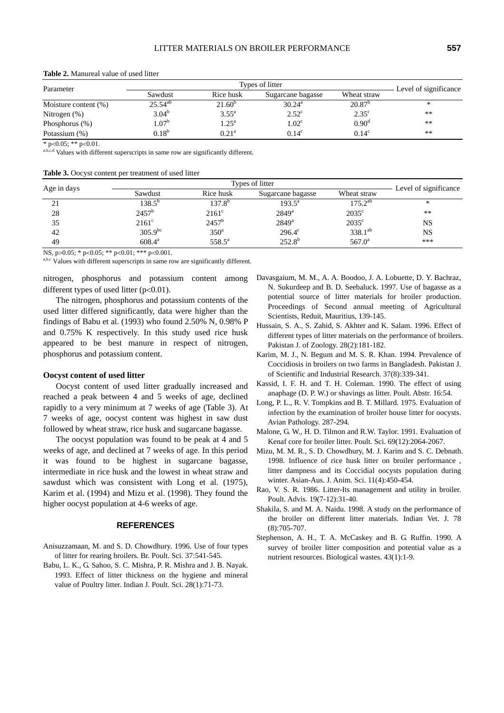| Parameter               |              |                   |                   |                    |                       |
|-------------------------|--------------|-------------------|-------------------|--------------------|-----------------------|
|                         | Sawdust      | Rice husk         | Sugarcane bagasse | Wheat straw        | Level of significance |
| Moisture content $(\%)$ | $25.54^{ab}$ | $21.60^{\circ}$   | $30.24^{\rm a}$   | 20.87 <sup>b</sup> | ∗                     |
| Nitrogen $(\%)$         | $3.04^{b}$   | $3.55^{\rm a}$    | $2.52^{\circ}$    | $2.35^{\circ}$     | $**$                  |
| Phosphorus $(\%)$       | $1.07^{b}$   | $1.25^{\text{a}}$ | 1.02 <sup>c</sup> | 0.90 <sup>d</sup>  | **                    |
| Potassium (%)           | $0.18^{b}$   | 0.21 <sup>a</sup> | $0.14^{\circ}$    | $0.14^{\circ}$     | $**$                  |

**Table 2.** Manureal value of used litter

\* p<0.05; \*\* p<0.01. a,b,c,d Values with different superscripts in same row are significantly different.

|  | Table 3. Oocyst content per treatment of used litter |
|--|------------------------------------------------------|
|--|------------------------------------------------------|

| Age in days |                 | Types of litter  |                     |                 |                       |  |
|-------------|-----------------|------------------|---------------------|-----------------|-----------------------|--|
|             | Sawdust         | Rice husk        | Sugarcane bagasse   | Wheat straw     | Level of significance |  |
| 21          | $138.5^{\circ}$ | 137.8°           | $193.5^{\circ}$     | $175.2^{ab}$    | ∗                     |  |
| 28          | $2457^{\rm b}$  | $2161^{\circ}$   | $2849$ <sup>a</sup> | $2035^{\circ}$  | **                    |  |
| 35          | $2161^{\circ}$  | $2457^{\rm b}$   | $2849$ <sup>a</sup> | $2035^{\circ}$  | NS                    |  |
| 42          | $305.9^{bc}$    | 350 <sup>a</sup> | $296.4^{\circ}$     | $338.1^{ab}$    | NS                    |  |
| 49          | $608.4^{\rm a}$ | $558.5^{\circ}$  | $252.8^{b}$         | $567.0^{\circ}$ | ***                   |  |

NS, p>0.05; \* p<0.05; \*\* p<0.01; \*\*\* p<0.001.<br>
a,b,c Values with different superscripts in same row are significantly different.

nitrogen, phosphorus and potassium content among different types of used litter  $(p<0.01)$ .

The nitrogen, phosphorus and potassium contents of the used litter differed significantly, data were higher than the findings of Babu et al. (1993) who found 2.50% N, 0.98% P and 0.75% K respectively. In this study used rice husk appeared to be best manure in respect of nitrogen, phosphorus and potassium content.

#### **Oocyst content of used litter**

Oocyst content of used litter gradually increased and reached a peak between 4 and 5 weeks of age, declined rapidly to a very minimum at 7 weeks of age (Table 3). At 7 weeks of age, oocyst content was highest in saw dust followed by wheat straw, rice husk and sugarcane bagasse.

The oocyst population was found to be peak at 4 and 5 weeks of age, and declined at 7 weeks of age. In this period it was found to be highest in sugarcane bagasse, intermediate in rice husk and the lowest in wheat straw and sawdust which was consistent with Long et al. (1975), Karim et al. (1994) and Mizu et al. (1998). They found the higher oocyst population at 4-6 weeks of age.

#### **REFERENCES**

- Anisuzzamaan, M. and S. D. Chowdhury. 1996. Use of four types of litter for rearing broilers. Br. Poult. Sci. 37:541-545.
- Babu, L. K., G. Sahoo, S. C. Mishra, P. R. Mishra and J. B. Nayak. 1993. Effect of litter thickness on the hygiene and mineral value of Poultry litter. Indian J. Poult. Sci. 28(1):71-73.
- Davasgaium, M. M., A. A. Boodoo, J. A. Lobuette, D. Y. Bachraz, N. Sukurdeep and B. D. Seebaluck. 1997. Use of bagasse as a potential source of litter materials for broiler production. Proceedings of Second annual meeting of Agricultural Scientists, Reduit, Mauritius, 139-145.
- Hussain, S. A., S. Zahid, S. Akhter and K. Salam. 1996. Effect of different types of litter materials on the performance of broilers. Pakistan J. of Zoology. 28(2):181-182.
- Karim, M. J., N. Begum and M. S. R. Khan. 1994. Prevalence of Coccidiosis in broilers on two farms in Bangladesh. Pakistan J. of Scientific and Industrial Research. 37(8):339-341.
- Kassid, I. F. H. and T. H. Coleman. 1990. The effect of using anaphage (D. P. W.) or shavings as litter. Poult. Abstr. 16:54.
- Long, P. L., R. V. Tompkins and B. T. Millard. 1975. Evaluation of infection by the examination of broiler house litter for oocysts. Avian Pathology. 287-294.
- Malone, G. W., H. D. Tilmon and R.W. Taylor. 1991. Evaluation of Kenaf core for broiler litter. Poult. Sci. 69(12):2064-2067.
- Mizu, M. M. R., S. D. Chowdhury, M. J. Karim and S. C. Debnath. 1998. Influence of rice husk litter on broiler performance , litter dampness and its Coccidial oocysts population during winter. Asian-Aus. J. Anim. Sci. 11(4):450-454.
- Rao, V. S. R. 1986. Litter-Its management and utility in broiler. Poult. Advis. 19(7-12):31-40.
- Shakila, S. and M. A. Naidu. 1998. A study on the performance of the broiler on different litter materials. Indian Vet. J. 78 (8):705-707.
- Stephenson, A. H., T. A. McCaskey and B. G. Ruffin. 1990. A survey of broiler litter composition and potential value as a nutrient resources. Biological wastes. 43(1):1-9.